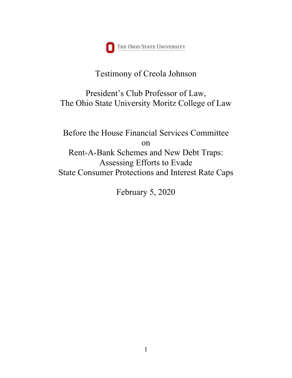THE OHIO STATE UNIVERSITY

## Testimony of Creola Johnson

President's Club Professor of Law, The Ohio State University Moritz College of Law

Before the House Financial Services Committee on Rent-A-Bank Schemes and New Debt Traps: Assessing Efforts to Evade State Consumer Protections and Interest Rate Caps

February 5, 2020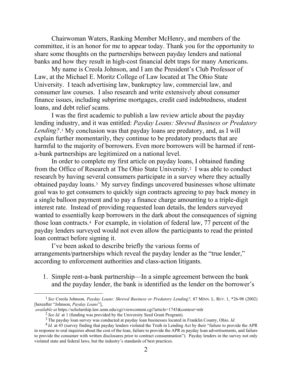Chairwoman Waters, Ranking Member McHenry, and members of the committee, it is an honor for me to appear today. Thank you for the opportunity to share some thoughts on the partnerships between payday lenders and national banks and how they result in high-cost financial debt traps for many Americans.

My name is Creola Johnson, and I am the President's Club Professor of Law, at the Michael E. Moritz College of Law located at The Ohio State University. I teach advertising law, bankruptcy law, commercial law, and consumer law courses. I also research and write extensively about consumer finance issues, including subprime mortgages, credit card indebtedness, student loans, and debt relief scams.

I was the first academic to publish a law review article about the payday lending industry, and it was entitled: *Payday Loans: Shrewd Business or Predatory Lending?*.[1](#page-1-0) My conclusion was that payday loans are predatory, and, as I will explain further momentarily, they continue to be predatory products that are harmful to the majority of borrowers. Even more borrowers will be harmed if renta-bank partnerships are legitimized on a national level.

In order to complete my first article on payday loans, I obtained funding from the Office of Research at The Ohio State University.[2](#page-1-1) I was able to conduct research by having several consumers participate in a survey where they actually obtained payday loans.[3](#page-1-2) My survey findings uncovered businesses whose ultimate goal was to get consumers to quickly sign contracts agreeing to pay back money in a single balloon payment and to pay a finance charge amounting to a triple-digit interest rate. Instead of providing requested loan details, the lenders surveyed wanted to essentially keep borrowers in the dark about the consequences of signing those loan contracts.[4](#page-1-3) For example, in violation of federal law, 77 percent of the payday lenders surveyed would not even allow the participants to read the printed loan contract before signing it.

I've been asked to describe briefly the various forms of arrangements/partnerships which reveal the payday lender as the "true lender," according to enforcement authorities and class-action litigants.

1. Simple rent-a-bank partnership—In a simple agreement between the bank and the payday lender, the bank is identified as the lender on the borrower's

<span id="page-1-0"></span><sup>1</sup> *See* Creola Johnson*, Payday Loans: Shrewd Business or Predatory Lending?,* 87 MINN. L. REV. 1, \*26-98 (2002) [hereafter "Johnson, *Payday Loans*"],

<span id="page-1-1"></span>*available at* https://scholarship.law.umn.edu/cgi/viewcontent.cgi?article=1743&context=mlr

<sup>2</sup> *See Id.* at 1 (funding was provided by the University Seed Grant Program).

<sup>3</sup> The payday loan survey was conducted at payday loan businesses located in Franklin County, Ohio. *Id.*<br>4 *Id.* at 45 (survey finding that payday lenders violated the Truth in Lending Act by their "failure to provide the

<span id="page-1-3"></span><span id="page-1-2"></span>in response to oral inquiries about the cost of the loan, failure to provide the APR in payday loan advertisements, and failure to provide the consumer with written disclosures prior to contract consummation"). Payday lenders in the survey not only violated state and federal laws, but the industry's standards of best practices.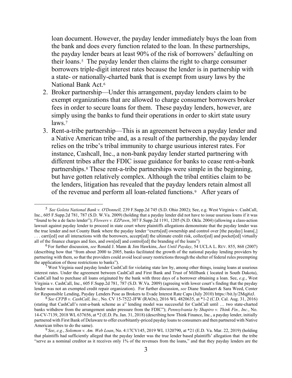loan document. However, the payday lender immediately buys the loan from the bank and does every function related to the loan. In these partnerships, the payday lender bears at least 90% of the risk of borrowers' defaulting on their loans.[5](#page-2-0) The payday lender then claims the right to charge consumer borrowers triple-digit interest rates because the lender is in partnership with a state- or nationally-charted bank that is exempt from usury laws by the National Bank Act.[6](#page-2-1)

- 2. Broker partnership—Under this arrangement, payday lenders claim to be exempt organizations that are allowed to charge consumer borrowers broker fees in order to secure loans for them. These payday lenders, however, are simply using the banks to fund their operations in order to skirt state usury laws.[7](#page-2-2)
- 3. Rent-a-tribe partnership—This is an agreement between a payday lender and a Native American tribe and, as a result of the partnership, the payday lender relies on the tribe's tribal immunity to charge usurious interest rates. For instance, Cashcall, Inc., a non-bank payday lender started partnering with different tribes after the FDIC issue guidance for banks to cease rent-a-bank partnerships[.8](#page-2-3) These rent-a-tribe partnerships were simple in the beginning, but have gotten relatively complex. Although the tribal entities claim to be the lenders, litigation has revealed that the payday lenders retain almost all of the revenue and perform all loan-related functions.[9](#page-2-4) After years of

<span id="page-2-0"></span><sup>5</sup> *See Goleta National Bank v. O'Donnell,* 239 F.Supp.2d 745 (S.D. Ohio 2002); See, e.g. West Virginia v. CashCall, Inc., 605 F.Supp.2d 781, 787 (S.D. W.Va. 2009) (holding that a payday lender did not have to issue usurious loans if it was "found to be a de facto lender"); *Flowers v. EZPawn*, 307 F.Supp.2d 1191, 1205 (N.D. Okla. 2004) (allowing a class-action lawsuit against payday lender to proceed in state court where plaintiffs allegations demonstrate that the payday lender was the true lender and not County Bank where the payday lender "exerts[ed] ownership and control over [the payday] loans[,] ... carri[ed] out all interactions with the borrowers, accept[ed] the ultimate credit risk, collect[ed] and pocket[ed] virtually all of the finance charges and fees, and own[ed] and control[ed] the branding of the loans")

<span id="page-2-1"></span><sup>6</sup> For further discussion, *see* Ronald J. Mann & Jim Hawkins, *Just Until Payday*, 54 UCLA L. REV. 855, 868 (2007) (describing how that "from about 2000 to 2005, banks facilitated the growth of the national payday lending providers by partnering with them, so that the providers could avoid local usury restrictions through the shelter of federal rules preempting the application of those restrictions to banks").

<span id="page-2-2"></span>West Virginia sued payday lender CashCall for violating state law by, among other things, issuing loans at usurious interest rates. Under the agreement between CashCall and First Bank and Trust of Millbank ( located in South Dakota), CashCall had to purchase all loans originated by the bank with three days of a borrower obtaining a loan. See, *e.g.*, West Virginia v. CashCall, Inc., 605 F.Supp.2d 781, 787 (S.D. W.Va. 2009) (agreeing with lower court's finding that the payday lender was not an exempted credit repair organization). For further discussion, *see* Diane Standaert & Sara Weed, Center for Responsible Lending, Payday Lenders Pose as Brokers to Evade Interest Rate Caps (July 2010) https://bit.ly/2Mqj6zJ.

<span id="page-2-3"></span><sup>8</sup> *See CFPB v. CashCall, Inc.*, No. CV 15-7522-JFW (RAOx), 2016 WL 4820635, at \*1-2 (C.D. Cal. Aug. 31, 2016) (stating that CashCall's rent-a-bank scheme as a" lending model was successful for CashCall until … two state-charted banks withdrew from the arrangement under pressure from the FDIC"); *Pennsylvania by Shapiro v. Think Fin., Inc.*, No. 14-CV-7139, 2018 WL 637656, at \*2 (E.D. Pa. Jan. 31, 2018) (describing how Think Finance, Inc., a payday lender, initially partnered with First Bank of Delaware to offer exorbitantly-priced payday loans to consumers and then partnered with Native American tribes to do the same).

<span id="page-2-4"></span><sup>9</sup> *See*, *e.g.*, *Solomon v. Am. Web Loan*, No. 4:17CV145, 2019 WL 1320790, at \*21 (E.D. Va. Mar. 22, 2019) (holding that plaintiffs had sufficiently alleged that the payday lender was the true lender based plaintiffs' allegation that the tribe "serve as a nominal creditor as it receives only 1% of the revenues from the loans," and that they payday lenders are the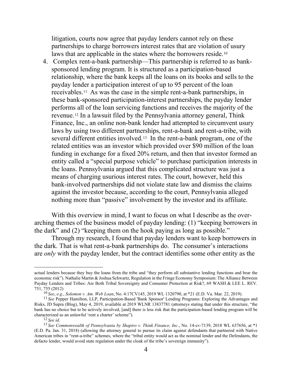litigation, courts now agree that payday lenders cannot rely on these partnerships to charge borrowers interest rates that are violation of usury laws that are applicable in the states where the borrowers reside.<sup>[10](#page-3-0)</sup>

4. Complex rent-a-bank partnership—This partnership is referred to as banksponsored lending program. It is structured as a participation-based relationship, where the bank keeps all the loans on its books and sells to the payday lender a participation interest of up to 95 percent of the loan receivables.[11](#page-3-1) As was the case in the simple rent-a-bank partnerships, in these bank-sponsored participation-interest partnerships, the payday lender performs all of the loan servicing functions and receives the majority of the revenue.[12](#page-3-2) In a lawsuit filed by the Pennsylvania attorney general, Think Finance, Inc., an online non-bank lender had attempted to circumvent usury laws by using two different partnerships, rent-a-bank and rent-a-tribe, with several different entities involved.[13](#page-3-3) In the rent-a-bank program, one of the related entities was an investor which provided over \$90 million of the loan funding in exchange for a fixed 20% return, and then that investor formed an entity called a "special purpose vehicle" to purchase participation interests in the loans. Pennsylvania argued that this complicated structure was just a means of charging usurious interest rates. The court, however, held this bank-involved partnerships did not violate state law and dismiss the claims against the investor because, according to the court, Pennsylvania alleged nothing more than "passive" involvement by the investor and its affiliate.

With this overview in mind, I want to focus on what I describe as the overarching themes of the business model of payday lending: (1) "keeping borrowers in the dark" and (2) "keeping them on the hook paying as long as possible."

Through my research, I found that payday lenders want to keep borrowers in the dark. That is what rent-a-bank partnerships do. The consumer's interactions are *only* with the payday lender, but the contract identifies some other entity as the

actual lenders because they buy the loans from the tribe and "they perform all substantive lending functions and bear the economic risk"). Nathalie Martin & Joshua Schwartz, Regulation in the Fringe Economy Symposium: The Alliance Between Payday Lenders and Tribes: Are Both Tribal Sovereignty and Consumer Protection at Risk?, 69 WASH & LEE L. REV. 751, 755 (2012)

<sup>10</sup> *See*, *e.g.*, *Solomon v. Am. Web Loan*, No. 4:17CV145, 2019 WL 1320790, at \*21 (E.D. Va. Mar. 22, 2019).

<span id="page-3-1"></span><span id="page-3-0"></span><sup>11</sup> *See* Pepper Hamilton, LLP, Participation-Based 'Bank Sponsor' Lending Programs: Exploring the Advantages and Risks, JD Supra (Blog), May 4, 2019, available at 2019 WLNR 13837781 (attorneys stating that under this structure, "the bank has no choice but to be actively involved, [and] there is less risk that the participation-based lending program will be

<span id="page-3-3"></span><span id="page-3-2"></span><sup>&</sup>lt;sup>12</sup> See id.<br><sup>13</sup> See Commonwealth of Pennsylvania by Shapiro v. Think Finance, Inc., No. 14-cv-7139, 2018 WL 637656, at \*1 (E.D. Pa. Jan. 31, 2018) (allowing the attorney general to pursue its claim against defendants that partnered with Native American tribes in "rent-a-tribe" schemes, where the "tribal entity would act as the nominal lender and the Defendants, the defacto lender, would avoid state regulation under the cloak of the tribe's sovereign immunity").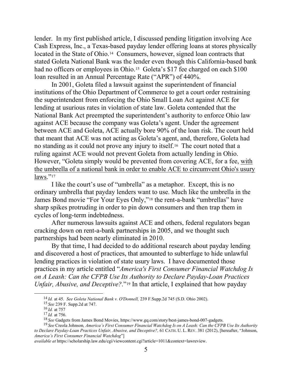lender. In my first published article, I discussed pending litigation involving Ace Cash Express, Inc., a Texas-based payday lender offering loans at stores physically located in the State of Ohio.<sup>14</sup> Consumers, however, signed loan contracts that stated Goleta National Bank was the lender even though this California-based bank had no officers or employees in Ohio.<sup>15</sup> Goleta's \$17 fee charged on each \$100 loan resulted in an Annual Percentage Rate ("APR") of 440%.

In 2001, Goleta filed a lawsuit against the superintendent of financial institutions of the Ohio Department of Commerce to get a court order restraining the superintendent from enforcing the Ohio Small Loan Act against ACE for lending at usurious rates in violation of state law. Goleta contended that the National Bank Act preempted the superintendent's authority to enforce Ohio law against ACE because the company was Goleta's agent. Under the agreement between ACE and Goleta, ACE actually bore 90% of the loan risk. The court held that meant that ACE was not acting as Goleta's agent, and, therefore, Goleta had no standing as it could not prove any injury to itself[.16](#page-4-2) The court noted that a ruling against ACE would not prevent Goleta from actually lending in Ohio. However, "Goleta simply would be prevented from covering ACE, for a fee, with the umbrella of a national bank in order to enable ACE to circumvent Ohio's usury  $laws."$ <sup>[17](#page-4-3)</sup>

I like the court's use of "umbrella" as a metaphor. Except, this is no ordinary umbrella that payday lenders want to use. Much like the umbrella in the James Bond movie "For Your Eyes Only,["18](#page-4-4) the rent-a-bank "umbrellas" have sharp spikes protruding in order to pin down consumers and then trap them in cycles of long-term indebtedness.

After numerous lawsuits against ACE and others, federal regulators began cracking down on rent-a-bank partnerships in 2005, and we thought such partnerships had been nearly eliminated in 2010.

By that time, I had decided to do additional research about payday lending and discovered a host of practices, that amounted to subterfuge to hide unlawful lending practices in violation of state usury laws. I have documented those practices in my article entitled "*America's First Consumer Financial Watchdog Is on A Leash: Can the CFPB Use Its Authority to Declare Payday-Loan Practices Unfair, Abusive, and Deceptive?*."[19](#page-4-5) In that article, I explained that how payday

<sup>14</sup> *Id.* at 45. *See Goleta National Bank v. O'Donnell,* 239 F.Supp.2d 745 (S.D. Ohio 2002). <sup>15</sup> *See* 239 F. Supp.2d at 747.

<sup>16</sup> *Id.* at 757

<sup>&</sup>lt;sup>17</sup> *Id.* at 756.<br><sup>18</sup> *See* Gadgets from James Bond Movies, https://www.gq.com/story/best-james-bond-007-gadgets.

<span id="page-4-5"></span><span id="page-4-4"></span><span id="page-4-3"></span><span id="page-4-2"></span><span id="page-4-1"></span><span id="page-4-0"></span><sup>&</sup>lt;sup>19</sup> See Creola Johnson, America's First Consumer Financial Watchdog Is on A Leash: Can the CFPB Use Its Authority *to Declare Payday-Loan Practices Unfair, Abusive, and Deceptive?,* 61 CATH. U. L. REV. 381 (2012), [hereafter, "Johnson, *America's First Consumer Financial Watchdog*"]

*available at* https://scholarship.law.edu/cgi/viewcontent.cgi?article=1011&context=lawreview.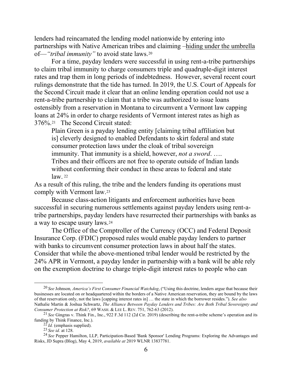lenders had reincarnated the lending model nationwide by entering into partnerships with Native American tribes and claiming –hiding under the umbrella of—*"tribal immunity"* to avoid state laws.[20](#page-5-0)

For a time, payday lenders were successful in using rent-a-tribe partnerships to claim tribal immunity to charge consumers triple and quadruple-digit interest rates and trap them in long periods of indebtedness. However, several recent court rulings demonstrate that the tide has turned. In 2019, the U.S. Court of Appeals for the Second Circuit made it clear that an online lending operation could not use a rent-a-tribe partnership to claim that a tribe was authorized to issue loans ostensibly from a reservation in Montana to circumvent a Vermont law capping loans at 24% in order to charge residents of Vermont interest rates as high as 376%.[21](#page-5-1) The Second Circuit stated:

Plain Green is a payday lending entity [claiming tribal affiliation but is] cleverly designed to enabled Defendants to skirt federal and state consumer protection laws under the cloak of tribal sovereign immunity. That immunity is a shield, however, *not a sword*. …. Tribes and their officers are not free to operate outside of Indian lands without conforming their conduct in these areas to federal and state law. [22](#page-5-2)

As a result of this ruling, the tribe and the lenders funding its operations must comply with Vermont law.[23](#page-5-3)

Because class-action litigants and enforcement authorities have been successful in securing numerous settlements against payday lenders using rent-atribe partnerships, payday lenders have resurrected their partnerships with banks as a way to escape usury laws.[24](#page-5-4)

The Office of the Comptroller of the Currency (OCC) and Federal Deposit Insurance Corp. (FDIC) proposed rules would enable payday lenders to partner with banks to circumvent consumer protection laws in about half the states. Consider that while the above-mentioned tribal lender would be restricted by the 24% APR in Vermont, a payday lender in partnership with a bank will be able rely on the exemption doctrine to charge triple-digit interest rates to people who can

<span id="page-5-0"></span><sup>20</sup> *See* Johnson*, America's First Consumer Financial Watchdog*, ("Using this doctrine, lenders argue that because their businesses are located on or headquartered within the borders of a Native American reservation, they are bound by the laws of that reservation only, not the laws [capping interest rates in] … the state in which the borrower resides."). *See also*  Nathalie Martin & Joshua Schwartz, *The Alliance Between Payday Lenders and Tribes: Are Both Tribal Sovereignty and Consumer Protection at Risk?*, 69 WASH. & LEE L. REV. 751, 762-63 (2012).

<span id="page-5-1"></span><sup>21</sup> *See* Gingras v. Think Fin., Inc., 922 F.3d 112 (2d Cir. 2019) (describing the rent-a-tribe scheme's operation and its funding by Think Finance, Inc.).

 $\frac{22}{2}$ *Id.* (emphasis supplied).<br>23 See id. at 128.

<span id="page-5-4"></span><span id="page-5-3"></span><span id="page-5-2"></span><sup>&</sup>lt;sup>24</sup> See Pepper Hamilton, LLP, Participation-Based 'Bank Sponsor' Lending Programs: Exploring the Advantages and Risks, JD Supra (Blog), May 4, 2019, *available at* 2019 WLNR 13837781.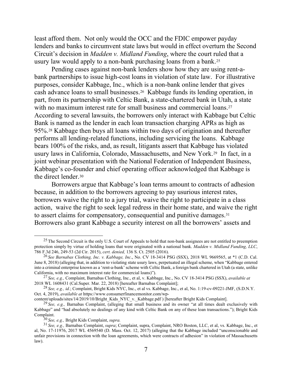least afford them. Not only would the OCC and the FDIC empower payday lenders and banks to circumvent state laws but would in effect overturn the Second Circuit's decision in *Madden v. Midland Funding*, where the court ruled that a usury law would apply to a non-bank purchasing loans from a bank.[25](#page-6-0)

Pending cases against non-bank lenders show how they are using rent-abank partnerships to issue high-cost loans in violation of state law. For illustrative purposes, consider Kabbage, Inc., which is a non-bank online lender that gives cash advance loans to small businesses.[26](#page-6-1) Kabbage funds its lending operation, in part, from its partnership with Celtic Bank, a state-chartered bank in Utah, a state with no maximum interest rate for small business and commercial loans.<sup>[27](#page-6-2)</sup> According to several lawsuits, the borrowers only interact with Kabbage but Celtic Bank is named as the lender in each loan transaction charging APRs as high as 95%.[28](#page-6-3) Kabbage then buys all loans within two days of origination and thereafter performs all lending-related functions, including servicing the loans. Kabbage bears 100% of the risks, and, as result, litigants assert that Kabbage has violated usury laws in California, Colorado, Massachusetts, and New York[.29](#page-6-4) In fact, in a joint webinar presentation with the National Federation of Independent Business, Kabbage's co-founder and chief operating officer acknowledged that Kabbage is the direct lender.[30](#page-6-5)

Borrowers argue that Kabbage's loan terms amount to contracts of adhesion because, in addition to the borrowers agreeing to pay usurious interest rates, borrowers waive the right to a jury trial, waive the right to participate in a class action, waive the right to seek legal redress in their home state, and waive the right to assert claims for compensatory, consequential and punitive damages.<sup>[31](#page-6-6)</sup> Borrowers also grant Kabbage a security interest on all the borrowers' assets and

<span id="page-6-0"></span><sup>&</sup>lt;sup>25</sup> The Second Circuit is the only U.S. Court of Appeals to hold that non-bank assignees are not entitled to preemption protection simply by virtue of holding loans that were originated with a national bank. *Madden v. Midland Funding, LLC*, 786 F.3d 246, 249-53 (2d Cir. 2015), *cert. denied,* 136 S. Ct. 2505 (2016).

<span id="page-6-1"></span><sup>26</sup> *See Barnabas Clothing, Inc. v. Kabbage, Inc*., No. CV 18-3414 PSG (SSX), 2018 WL 9669565, at \*1 (C.D. Cal. June 8, 2018) (alleging that, in addition to violating state usury laws, perpetuated an illegal scheme, when "Kabbage entered into a criminal enterprise known as a 'rent-a-bank' scheme with Celtic Bank, a foreign bank chartered in Utah (a state, unlike

<span id="page-6-2"></span><sup>&</sup>lt;sup>27</sup> *See, e.g.,* Complaint, Barnabas Clothing, Inc., et al, v. Kabbage, Inc., No. CV 18-3414 PSG (SSX), *available at* 2018 WL 1608431 (Cal.Super. Mar. 22, 2018) [hereafter Barnabas Complaint];

<span id="page-6-3"></span><sup>28</sup> *See, e.g., id.*; Complaint, Bright Kids NYC, Inc., et al vs. Kabbage, Inc., et al, No. 1:19-cv-09221-JMF, (S.D.N.Y. Oct. 4, 2019), *available at* https://www.consumerfinancemonitor.com/wp-<br>content/uploads/sites/14/2019/10/Bright Kids NYC v. Kabbage.pdf) [hereafter Bright Kids Complaint].

<span id="page-6-4"></span><sup>&</sup>lt;sup>29</sup> *See, e.g.,* Barnabas Complaint, (alleging that small business and its owner "at all times dealt exclusively with Kabbage" and "had absolutely no dealings of any kind with Celtic Bank on any of these loan transactions."); Bright Kids Complaint.<br>  $30$  See, e.g., Bright Kids Complaint, *supra*.

<span id="page-6-6"></span><span id="page-6-5"></span><sup>&</sup>lt;sup>31</sup> See, e.g., Barnabas Complaint, *supra*; Complaint, supra, Complaint, NRO Boston, LLC, et al, vs. Kabbage, Inc., et al, No. 17-11976, 2017 WL 4569540 (D. Mass. Oct. 12, 2017) (alleging that the Kabbage included "unconscionable and unfair provisions in connection with the loan agreements, which were contracts of adhesion" in violation of Massachusetts law).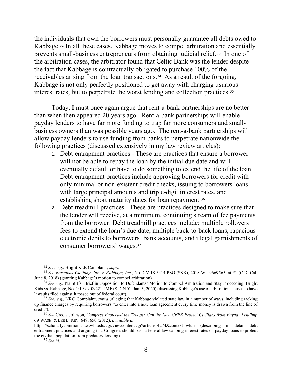the individuals that own the borrowers must personally guarantee all debts owed to Kabbage.[32](#page-7-0) In all these cases, Kabbage moves to compel arbitration and essentially prevents small-business entrepreneurs from obtaining judicial relief.[33](#page-7-1) In one of the arbitration cases, the arbitrator found that Celtic Bank was the lender despite the fact that Kabbage is contractually obligated to purchase 100% of the receivables arising from the loan transactions.[34](#page-7-2) As a result of the forgoing, Kabbage is not only perfectly positioned to get away with charging usurious interest rates, but to perpetrate the worst lending and collection practices[.35](#page-7-3) 

Today, I must once again argue that rent-a-bank partnerships are no better than when then appeared 20 years ago. Rent-a-bank partnerships will enable payday lenders to have far more funding to trap far more consumers and smallbusiness owners than was possible years ago. The rent-a-bank partnerships will allow payday lenders to use funding from banks to perpetrate nationwide the following practices (discussed extensively in my law review articles):

- 1. Debt entrapment practices These are practices that ensure a borrower will not be able to repay the loan by the initial due date and will eventually default or have to do something to extend the life of the loan. Debt entrapment practices include approving borrowers for credit with only minimal or non-existent credit checks, issuing to borrowers loans with large principal amounts and triple-digit interest rates, and establishing short maturity dates for loan repayment.[36](#page-7-4)
- 2. Debt treadmill practices These are practices designed to make sure that the lender will receive, at a minimum, continuing stream of fee payments from the borrower. Debt treadmill practices include: multiple rollovers fees to extend the loan's due date, multiple back-to-back loans, rapacious electronic debits to borrowers' bank accounts, and illegal garnishments of consumer borrowers' wages.[37](#page-7-5)

<span id="page-7-1"></span><span id="page-7-0"></span><sup>32</sup> *See, e.g.,* Bright Kids Complaint, *supra.* <sup>33</sup> *See Barnabas Clothing, Inc. v. Kabbage, Inc*., No. CV 18-3414 PSG (SSX), 2018 WL 9669565, at \*1 (C.D. Cal. June 8, 2018) (granting Kabbage's motion to compel arbitration).

<span id="page-7-2"></span><sup>34</sup> *See e.g.,* Plaintiffs' Brief in Opposition to Defendants' Motion to Compel Arbitration and Stay Proceeding, Bright Kids vs. Kabbage, No. 1:19-cv-09221-JMF (S.D.N.Y. Jan. 3, 2020) (discussing Kabbage's use of arbitration clauses to have lawsuits filed against it tossed out of federal court).

<span id="page-7-3"></span><sup>35</sup> *See, e.g.,* NRO Complaint, *supra* (alleging that Kabbage violated state law in a number of ways, including racking up finance charges by requiring borrowers "to enter into a new loan agreement every time money is drawn from the line of

<span id="page-7-4"></span>credit"). <sup>36</sup> *See* Creola Johnson*, Congress Protected the Troops: Can the New CFPB Protect Civilians from Payday Lending,* 69 WASH. & LEE L. REV. 649, 650 (2012), *available at* 

<span id="page-7-5"></span>https://scholarlycommons.law.wlu.edu/cgi/viewcontent.cgi?article=4274&context=wlulr (describing in detail debt entrapment practices and arguing that Congress should pass a federal law capping interest rates on payday loans to protect the civilian population from predatory lending).

<sup>37</sup> *See id.*